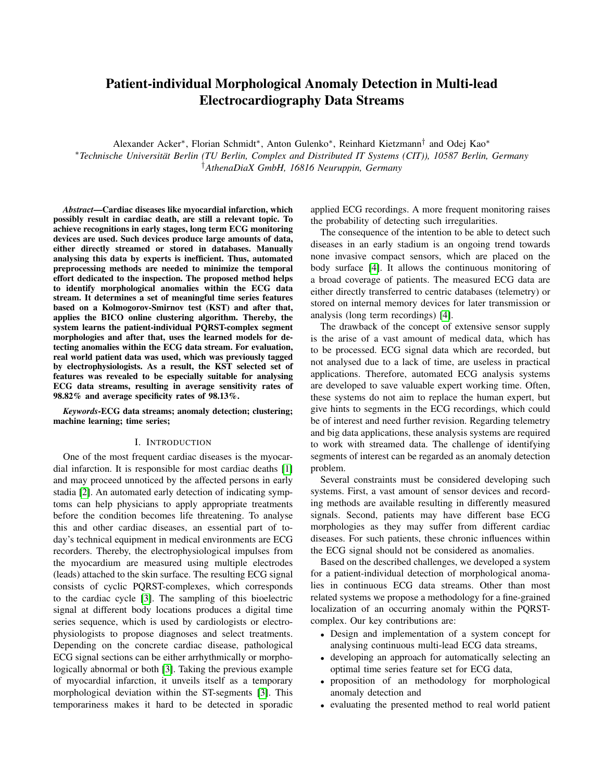# Patient-individual Morphological Anomaly Detection in Multi-lead Electrocardiography Data Streams

Alexander Acker<sup>∗</sup> , Florian Schmidt<sup>∗</sup> , Anton Gulenko<sup>∗</sup> , Reinhard Kietzmann† and Odej Kao<sup>∗</sup> <sup>∗</sup>*Technische Universitat Berlin (TU Berlin, Complex and Distributed IT Systems (CIT)), 10587 Berlin, Germany ¨* †*AthenaDiaX GmbH, 16816 Neuruppin, Germany*

*Abstract*—Cardiac diseases like myocardial infarction, which possibly result in cardiac death, are still a relevant topic. To achieve recognitions in early stages, long term ECG monitoring devices are used. Such devices produce large amounts of data, either directly streamed or stored in databases. Manually analysing this data by experts is inefficient. Thus, automated preprocessing methods are needed to minimize the temporal effort dedicated to the inspection. The proposed method helps to identify morphological anomalies within the ECG data stream. It determines a set of meaningful time series features based on a Kolmogorov-Smirnov test (KST) and after that, applies the BICO online clustering algorithm. Thereby, the system learns the patient-individual PQRST-complex segment morphologies and after that, uses the learned models for detecting anomalies within the ECG data stream. For evaluation, real world patient data was used, which was previously tagged by electrophysiologists. As a result, the KST selected set of features was revealed to be especially suitable for analysing ECG data streams, resulting in average sensitivity rates of 98.82% and average specificity rates of 98.13%.

*Keywords*-ECG data streams; anomaly detection; clustering; machine learning; time series;

### I. INTRODUCTION

<span id="page-0-0"></span>One of the most frequent cardiac diseases is the myocardial infarction. It is responsible for most cardiac deaths [\[1\]](#page-5-0) and may proceed unnoticed by the affected persons in early stadia [\[2\]](#page-5-1). An automated early detection of indicating symptoms can help physicians to apply appropriate treatments before the condition becomes life threatening. To analyse this and other cardiac diseases, an essential part of today's technical equipment in medical environments are ECG recorders. Thereby, the electrophysiological impulses from the myocardium are measured using multiple electrodes (leads) attached to the skin surface. The resulting ECG signal consists of cyclic PQRST-complexes, which corresponds to the cardiac cycle [\[3\]](#page-5-2). The sampling of this bioelectric signal at different body locations produces a digital time series sequence, which is used by cardiologists or electrophysiologists to propose diagnoses and select treatments. Depending on the concrete cardiac disease, pathological ECG signal sections can be either arrhythmically or morphologically abnormal or both [\[3\]](#page-5-2). Taking the previous example of myocardial infarction, it unveils itself as a temporary morphological deviation within the ST-segments [\[3\]](#page-5-2). This temporariness makes it hard to be detected in sporadic applied ECG recordings. A more frequent monitoring raises the probability of detecting such irregularities.

The consequence of the intention to be able to detect such diseases in an early stadium is an ongoing trend towards none invasive compact sensors, which are placed on the body surface [\[4\]](#page-5-3). It allows the continuous monitoring of a broad coverage of patients. The measured ECG data are either directly transferred to centric databases (telemetry) or stored on internal memory devices for later transmission or analysis (long term recordings) [\[4\]](#page-5-3).

The drawback of the concept of extensive sensor supply is the arise of a vast amount of medical data, which has to be processed. ECG signal data which are recorded, but not analysed due to a lack of time, are useless in practical applications. Therefore, automated ECG analysis systems are developed to save valuable expert working time. Often, these systems do not aim to replace the human expert, but give hints to segments in the ECG recordings, which could be of interest and need further revision. Regarding telemetry and big data applications, these analysis systems are required to work with streamed data. The challenge of identifying segments of interest can be regarded as an anomaly detection problem.

Several constraints must be considered developing such systems. First, a vast amount of sensor devices and recording methods are available resulting in differently measured signals. Second, patients may have different base ECG morphologies as they may suffer from different cardiac diseases. For such patients, these chronic influences within the ECG signal should not be considered as anomalies.

Based on the described challenges, we developed a system for a patient-individual detection of morphological anomalies in continuous ECG data streams. Other than most related systems we propose a methodology for a fine-grained localization of an occurring anomaly within the PQRSTcomplex. Our key contributions are:

- Design and implementation of a system concept for analysing continuous multi-lead ECG data streams,
- developing an approach for automatically selecting an optimal time series feature set for ECG data,
- proposition of an methodology for morphological anomaly detection and
- evaluating the presented method to real world patient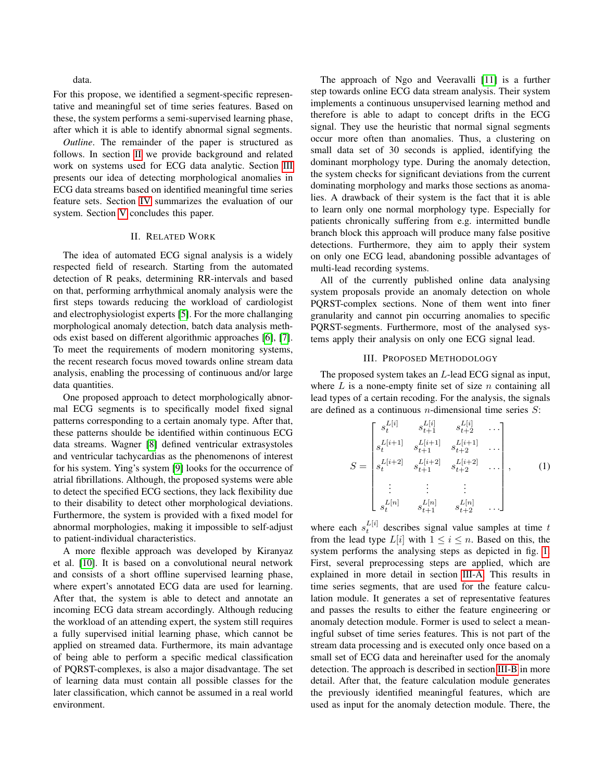### data.

For this propose, we identified a segment-specific representative and meaningful set of time series features. Based on these, the system performs a semi-supervised learning phase, after which it is able to identify abnormal signal segments.

*Outline*. The remainder of the paper is structured as follows. In section [II](#page-1-0) we provide background and related work on systems used for ECG data analytic. Section [III](#page-1-1) presents our idea of detecting morphological anomalies in ECG data streams based on identified meaningful time series feature sets. Section [IV](#page-3-0) summarizes the evaluation of our system. Section [V](#page-5-4) concludes this paper.

### II. RELATED WORK

<span id="page-1-0"></span>The idea of automated ECG signal analysis is a widely respected field of research. Starting from the automated detection of R peaks, determining RR-intervals and based on that, performing arrhythmical anomaly analysis were the first steps towards reducing the workload of cardiologist and electrophysiologist experts [\[5\]](#page-5-5). For the more challanging morphological anomaly detection, batch data analysis methods exist based on different algorithmic approaches [\[6\]](#page-5-6), [\[7\]](#page-5-7). To meet the requirements of modern monitoring systems, the recent research focus moved towards online stream data analysis, enabling the processing of continuous and/or large data quantities.

One proposed approach to detect morphologically abnormal ECG segments is to specifically model fixed signal patterns corresponding to a certain anomaly type. After that, these patterns shoulde be identified within continuous ECG data streams. Wagner [\[8\]](#page-5-8) defined ventricular extrasystoles and ventricular tachycardias as the phenomenons of interest for his system. Ying's system [\[9\]](#page-5-9) looks for the occurrence of atrial fibrillations. Although, the proposed systems were able to detect the specified ECG sections, they lack flexibility due to their disability to detect other morphological deviations. Furthermore, the system is provided with a fixed model for abnormal morphologies, making it impossible to self-adjust to patient-individual characteristics.

A more flexible approach was developed by Kiranyaz et al. [\[10\]](#page-5-10). It is based on a convolutional neural network and consists of a short offline supervised learning phase, where expert's annotated ECG data are used for learning. After that, the system is able to detect and annotate an incoming ECG data stream accordingly. Although reducing the workload of an attending expert, the system still requires a fully supervised initial learning phase, which cannot be applied on streamed data. Furthermore, its main advantage of being able to perform a specific medical classification of PQRST-complexes, is also a major disadvantage. The set of learning data must contain all possible classes for the later classification, which cannot be assumed in a real world environment.

The approach of Ngo and Veeravalli [\[11\]](#page-5-11) is a further step towards online ECG data stream analysis. Their system implements a continuous unsupervised learning method and therefore is able to adapt to concept drifts in the ECG signal. They use the heuristic that normal signal segments occur more often than anomalies. Thus, a clustering on small data set of 30 seconds is applied, identifying the dominant morphology type. During the anomaly detection, the system checks for significant deviations from the current dominating morphology and marks those sections as anomalies. A drawback of their system is the fact that it is able to learn only one normal morphology type. Especially for patients chronically suffering from e.g. intermitted bundle branch block this approach will produce many false positive detections. Furthermore, they aim to apply their system on only one ECG lead, abandoning possible advantages of multi-lead recording systems.

All of the currently published online data analysing system proposals provide an anomaly detection on whole PQRST-complex sections. None of them went into finer granularity and cannot pin occurring anomalies to specific PQRST-segments. Furthermore, most of the analysed systems apply their analysis on only one ECG signal lead.

# III. PROPOSED METHODOLOGY

<span id="page-1-1"></span>The proposed system takes an L-lead ECG signal as input, where  $L$  is a none-empty finite set of size  $n$  containing all lead types of a certain recoding. For the analysis, the signals are defined as a continuous *n*-dimensional time series  $S$ :

$$
S = \begin{bmatrix} s_t^{L[i]} & s_{t+1}^{L[i]} & s_{t+2}^{L[i]} & \cdots \\ s_t^{L[i+1]} & s_{t+1}^{L[i+1]} & s_{t+2}^{L[i+1]} & \cdots \\ s_t^{L[i+2]} & s_{t+1}^{L[i+2]} & s_{t+2}^{L[i+2]} & \cdots \\ \vdots & \vdots & \vdots & \vdots \\ s_t^{L[n]} & s_{t+1}^{L[n]} & s_{t+2}^{L[n]} & \cdots \end{bmatrix}, \quad (1)
$$

where each  $s_t^{L[i]}$  describes signal value samples at time t from the lead type  $L[i]$  with  $1 \leq i \leq n$ . Based on this, the system performs the analysing steps as depicted in fig. [1.](#page-2-0) First, several preprocessing steps are applied, which are explained in more detail in section [III-A.](#page-2-1) This results in time series segments, that are used for the feature calculation module. It generates a set of representative features and passes the results to either the feature engineering or anomaly detection module. Former is used to select a meaningful subset of time series features. This is not part of the stream data processing and is executed only once based on a small set of ECG data and hereinafter used for the anomaly detection. The approach is described in section [III-B](#page-2-2) in more detail. After that, the feature calculation module generates the previously identified meaningful features, which are used as input for the anomaly detection module. There, the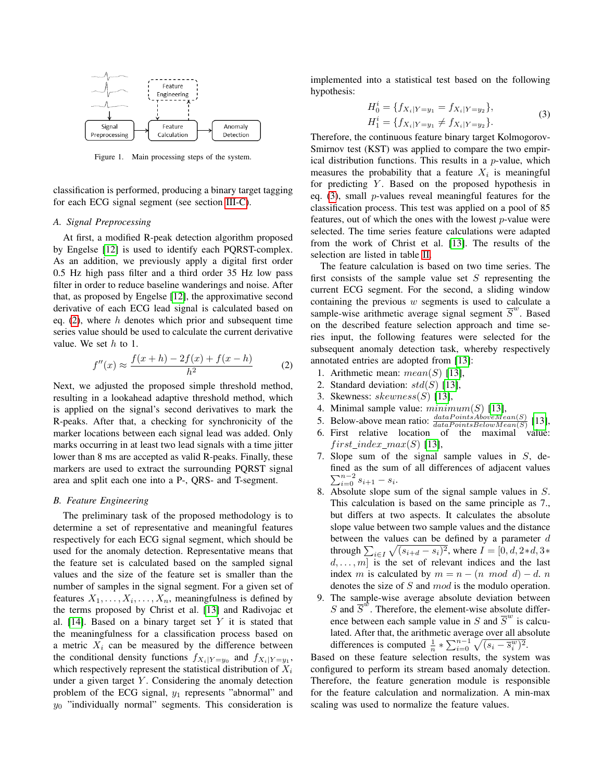

<span id="page-2-0"></span>Figure 1. Main processing steps of the system.

classification is performed, producing a binary target tagging for each ECG signal segment (see section [III-C\)](#page-3-1).

## <span id="page-2-1"></span>*A. Signal Preprocessing*

At first, a modified R-peak detection algorithm proposed by Engelse [\[12\]](#page-5-12) is used to identify each PQRST-complex. As an addition, we previously apply a digital first order 0.5 Hz high pass filter and a third order 35 Hz low pass filter in order to reduce baseline wanderings and noise. After that, as proposed by Engelse [\[12\]](#page-5-12), the approximative second derivative of each ECG lead signal is calculated based on eq. [\(2\)](#page-2-3), where  $h$  denotes which prior and subsequent time series value should be used to calculate the current derivative value. We set h to 1.

<span id="page-2-3"></span>
$$
f''(x) \approx \frac{f(x+h) - 2f(x) + f(x-h)}{h^2}
$$
 (2)

Next, we adjusted the proposed simple threshold method, resulting in a lookahead adaptive threshold method, which is applied on the signal's second derivatives to mark the R-peaks. After that, a checking for synchronicity of the marker locations between each signal lead was added. Only marks occurring in at least two lead signals with a time jitter lower than 8 ms are accepted as valid R-peaks. Finally, these markers are used to extract the surrounding PQRST signal area and split each one into a P-, QRS- and T-segment.

# <span id="page-2-2"></span>*B. Feature Engineering*

The preliminary task of the proposed methodology is to determine a set of representative and meaningful features respectively for each ECG signal segment, which should be used for the anomaly detection. Representative means that the feature set is calculated based on the sampled signal values and the size of the feature set is smaller than the number of samples in the signal segment. For a given set of features  $X_1, \ldots, X_i, \ldots, X_n$ , meaningfulness is defined by the terms proposed by Christ et al. [\[13\]](#page-5-13) and Radivojac et al. [\[14\]](#page-5-14). Based on a binary target set  $Y$  it is stated that the meaningfulness for a classification process based on a metric  $X_i$  can be measured by the difference between the conditional density functions  $f_{X_i|Y=y_0}$  and  $f_{X_i|Y=y_1}$ , which respectively represent the statistical distribution of  $X_i$ under a given target  $Y$ . Considering the anomaly detection problem of the ECG signal,  $y_1$  represents "abnormal" and  $y_0$  "individually normal" segments. This consideration is implemented into a statistical test based on the following hypothesis:

$$
H_0^i = \{ f_{X_i|Y=y_1} = f_{X_i|Y=y_2} \},
$$
  
\n
$$
H_1^i = \{ f_{X_i|Y=y_1} \neq f_{X_i|Y=y_2} \}.
$$
\n(3)

<span id="page-2-4"></span>Therefore, the continuous feature binary target Kolmogorov-Smirnov test (KST) was applied to compare the two empirical distribution functions. This results in a  $p$ -value, which measures the probability that a feature  $X_i$  is meaningful for predicting  $Y$ . Based on the proposed hypothesis in eq.  $(3)$ , small *p*-values reveal meaningful features for the classification process. This test was applied on a pool of 85 features, out of which the ones with the lowest p-value were selected. The time series feature calculations were adapted from the work of Christ et al. [\[13\]](#page-5-13). The results of the selection are listed in table [II.](#page-4-0)

The feature calculation is based on two time series. The first consists of the sample value set  $S$  representing the current ECG segment. For the second, a sliding window containing the previous w segments is used to calculate a sample-wise arithmetic average signal segment  $\overline{S}^w$ . Based on the described feature selection approach and time series input, the following features were selected for the subsequent anomaly detection task, whereby respectively annotated entries are adopted from [\[13\]](#page-5-13):

- 1. Arithmetic mean:  $mean(S)$  [\[13\]](#page-5-13),
- 2. Standard deviation:  $std(S)$  [\[13\]](#page-5-13),
- 3. Skewness:  $skewness(S)$  [\[13\]](#page-5-13),
- 4. Minimal sample value:  $minimum(S)$  [\[13\]](#page-5-13),
- 5. Below-above mean ratio:  $\frac{dataPointsAboveMean(S)}{dataPointsBelowMean(S)}$  [\[13\]](#page-5-13),
- 6. First relative location of the maximal value:  $first\_index\_max(S)$  [\[13\]](#page-5-13),
- 7. Slope sum of the signal sample values in S, defined as the sum of all differences of adjacent values  $\sum_{i=0}^{n-2} s_{i+1} - s_i.$
- 8. Absolute slope sum of the signal sample values in S. This calculation is based on the same principle as 7., but differs at two aspects. It calculates the absolute slope value between two sample values and the distance between the values can be defined by a parameter  $d$ through  $\sum_{i \in I} \sqrt{(s_{i+d} - s_i)^2}$ , where  $I = [0, d, 2*d, 3*$  $d, \ldots, m$  is the set of relevant indices and the last index m is calculated by  $m = n - (n \mod d) - d$ . n denotes the size of S and mod is the modulo operation.
- 9. The sample-wise average absolute deviation between S and  $\overline{S}^{ab}$ . Therefore, the element-wise absolute difference between each sample value in S and  $\overline{S}^w$  is calculated. After that, the arithmetic average over all absolute differences is computed  $\frac{1}{n} * \sum_{i=0}^{n-1} \sqrt{(s_i - \overline{s}_i^w)^2}$ .

Based on these feature selection results, the system was configured to perform its stream based anomaly detection. Therefore, the feature generation module is responsible for the feature calculation and normalization. A min-max scaling was used to normalize the feature values.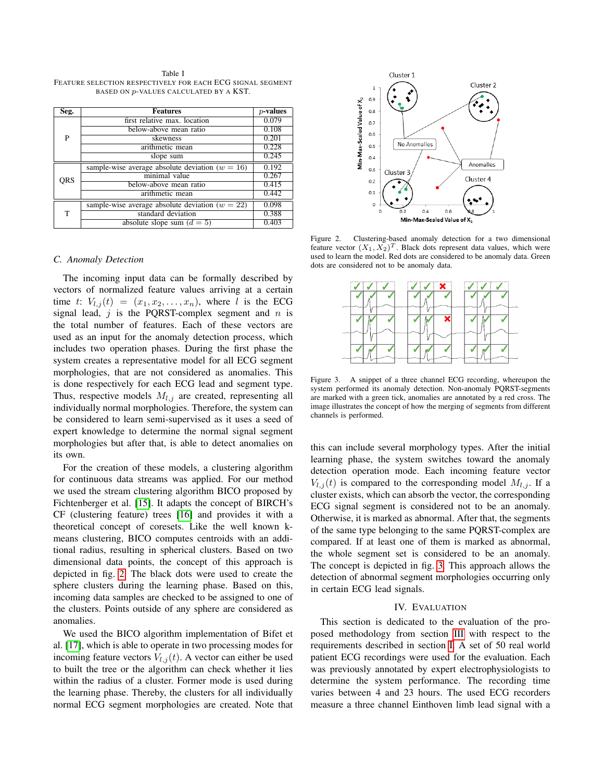Table I FEATURE SELECTION RESPECTIVELY FOR EACH ECG SIGNAL SEGMENT BASED ON p-VALUES CALCULATED BY A KST.

| Seg. | <b>Features</b>                                   | $p$ -values |
|------|---------------------------------------------------|-------------|
| P    | first relative max. location                      | 0.079       |
|      | below-above mean ratio                            | 0.108       |
|      | skewness                                          | 0.201       |
|      | arithmetic mean                                   | 0.228       |
|      | slope sum                                         | 0.245       |
| QRS  | sample-wise average absolute deviation $(w = 16)$ | 0.192       |
|      | minimal value                                     | 0.267       |
|      | below-above mean ratio                            | 0.415       |
|      | arithmetic mean                                   | 0.442       |
|      | sample-wise average absolute deviation $(w = 22)$ | 0.098       |
| T    | standard deviation                                | 0.388       |
|      | absolute slope sum $(d = 5)$                      | 0.403       |

#### <span id="page-3-1"></span>*C. Anomaly Detection*

The incoming input data can be formally described by vectors of normalized feature values arriving at a certain time t:  $V_{l,j}(t) = (x_1, x_2, \ldots, x_n)$ , where l is the ECG signal lead,  $j$  is the PQRST-complex segment and  $n$  is the total number of features. Each of these vectors are used as an input for the anomaly detection process, which includes two operation phases. During the first phase the system creates a representative model for all ECG segment morphologies, that are not considered as anomalies. This is done respectively for each ECG lead and segment type. Thus, respective models  $M_{l,j}$  are created, representing all individually normal morphologies. Therefore, the system can be considered to learn semi-supervised as it uses a seed of expert knowledge to determine the normal signal segment morphologies but after that, is able to detect anomalies on its own.

For the creation of these models, a clustering algorithm for continuous data streams was applied. For our method we used the stream clustering algorithm BICO proposed by Fichtenberger et al. [\[15\]](#page-5-15). It adapts the concept of BIRCH's CF (clustering feature) trees [\[16\]](#page-5-16) and provides it with a theoretical concept of coresets. Like the well known kmeans clustering, BICO computes centroids with an additional radius, resulting in spherical clusters. Based on two dimensional data points, the concept of this approach is depicted in fig. [2.](#page-3-2) The black dots were used to create the sphere clusters during the learning phase. Based on this, incoming data samples are checked to be assigned to one of the clusters. Points outside of any sphere are considered as anomalies.

We used the BICO algorithm implementation of Bifet et al. [\[17\]](#page-5-17), which is able to operate in two processing modes for incoming feature vectors  $V_{l,i}(t)$ . A vector can either be used to built the tree or the algorithm can check whether it lies within the radius of a cluster. Former mode is used during the learning phase. Thereby, the clusters for all individually normal ECG segment morphologies are created. Note that



<span id="page-3-2"></span>Figure 2. Clustering-based anomaly detection for a two dimensional feature vector  $(X_1, X_2)^T$ . Black dots represent data values, which were used to learn the model. Red dots are considered to be anomaly data. Green dots are considered not to be anomaly data.

| $-$                      |   |  |        |        |  | ____ | <b>Patrick</b> | $\sim$ |
|--------------------------|---|--|--------|--------|--|------|----------------|--------|
|                          |   |  |        |        |  |      |                |        |
| $\overline{\phantom{a}}$ |   |  | $\sim$ |        |  |      | a.             | ---    |
| ÷                        | - |  |        | $\sim$ |  |      |                |        |

<span id="page-3-3"></span>Figure 3. A snippet of a three channel ECG recording, whereupon the system performed its anomaly detection. Non-anomaly PQRST-segments are marked with a green tick, anomalies are annotated by a red cross. The image illustrates the concept of how the merging of segments from different channels is performed.

this can include several morphology types. After the initial learning phase, the system switches toward the anomaly detection operation mode. Each incoming feature vector  $V_{l,j}(t)$  is compared to the corresponding model  $M_{l,j}$ . If a cluster exists, which can absorb the vector, the corresponding ECG signal segment is considered not to be an anomaly. Otherwise, it is marked as abnormal. After that, the segments of the same type belonging to the same PQRST-complex are compared. If at least one of them is marked as abnormal, the whole segment set is considered to be an anomaly. The concept is depicted in fig. [3.](#page-3-3) This approach allows the detection of abnormal segment morphologies occurring only in certain ECG lead signals.

### IV. EVALUATION

<span id="page-3-0"></span>This section is dedicated to the evaluation of the proposed methodology from section [III](#page-1-1) with respect to the requirements described in section [I.](#page-0-0) A set of 50 real world patient ECG recordings were used for the evaluation. Each was previously annotated by expert electrophysiologists to determine the system performance. The recording time varies between 4 and 23 hours. The used ECG recorders measure a three channel Einthoven limb lead signal with a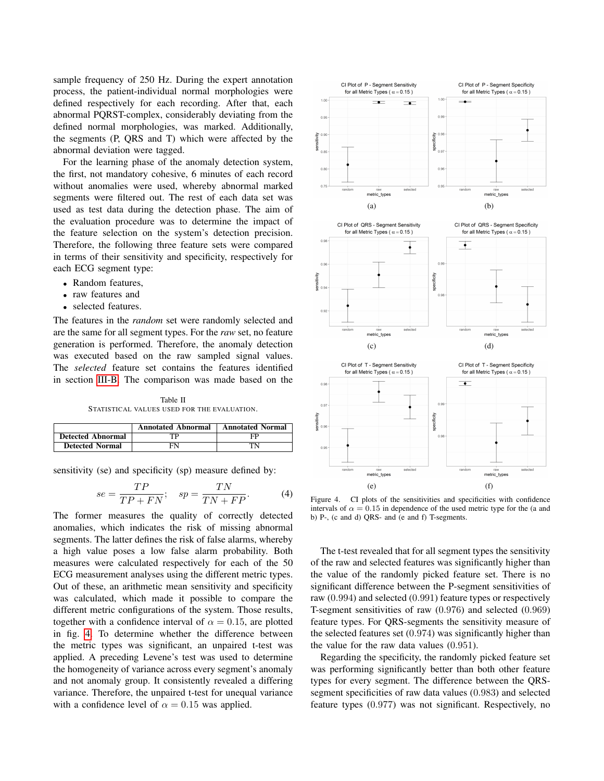sample frequency of 250 Hz. During the expert annotation process, the patient-individual normal morphologies were defined respectively for each recording. After that, each abnormal PQRST-complex, considerably deviating from the defined normal morphologies, was marked. Additionally, the segments (P, QRS and T) which were affected by the abnormal deviation were tagged.

For the learning phase of the anomaly detection system, the first, not mandatory cohesive, 6 minutes of each record without anomalies were used, whereby abnormal marked segments were filtered out. The rest of each data set was used as test data during the detection phase. The aim of the evaluation procedure was to determine the impact of the feature selection on the system's detection precision. Therefore, the following three feature sets were compared in terms of their sensitivity and specificity, respectively for each ECG segment type:

- Random features,
- raw features and
- selected features.

The features in the *random* set were randomly selected and are the same for all segment types. For the *raw* set, no feature generation is performed. Therefore, the anomaly detection was executed based on the raw sampled signal values. The *selected* feature set contains the features identified in section [III-B.](#page-2-2) The comparison was made based on the

Table II STATISTICAL VALUES USED FOR THE EVALUATION.

<span id="page-4-0"></span>

|                          | <b>Annotated Abnormal</b> | <b>Annotated Normal</b> |
|--------------------------|---------------------------|-------------------------|
| <b>Detected Abnormal</b> | тp                        | FÞ                      |
| <b>Detected Normal</b>   |                           |                         |

sensitivity (se) and specificity (sp) measure defined by:

$$
se = \frac{TP}{TP + FN}; \quad sp = \frac{TN}{TN + FP}.\tag{4}
$$

The former measures the quality of correctly detected anomalies, which indicates the risk of missing abnormal segments. The latter defines the risk of false alarms, whereby a high value poses a low false alarm probability. Both measures were calculated respectively for each of the 50 ECG measurement analyses using the different metric types. Out of these, an arithmetic mean sensitivity and specificity was calculated, which made it possible to compare the different metric configurations of the system. Those results, together with a confidence interval of  $\alpha = 0.15$ , are plotted in fig. [4.](#page-4-1) To determine whether the difference between the metric types was significant, an unpaired t-test was applied. A preceding Levene's test was used to determine the homogeneity of variance across every segment's anomaly and not anomaly group. It consistently revealed a differing variance. Therefore, the unpaired t-test for unequal variance with a confidence level of  $\alpha = 0.15$  was applied.



<span id="page-4-1"></span>Figure 4. CI plots of the sensitivities and specificities with confidence intervals of  $\alpha = 0.15$  in dependence of the used metric type for the (a and b) P-, (c and d) QRS- and (e and f) T-segments.

The t-test revealed that for all segment types the sensitivity of the raw and selected features was significantly higher than the value of the randomly picked feature set. There is no significant difference between the P-segment sensitivities of raw (0.994) and selected (0.991) feature types or respectively T-segment sensitivities of raw (0.976) and selected (0.969) feature types. For QRS-segments the sensitivity measure of the selected features set (0.974) was significantly higher than the value for the raw data values (0.951).

Regarding the specificity, the randomly picked feature set was performing significantly better than both other feature types for every segment. The difference between the QRSsegment specificities of raw data values (0.983) and selected feature types (0.977) was not significant. Respectively, no